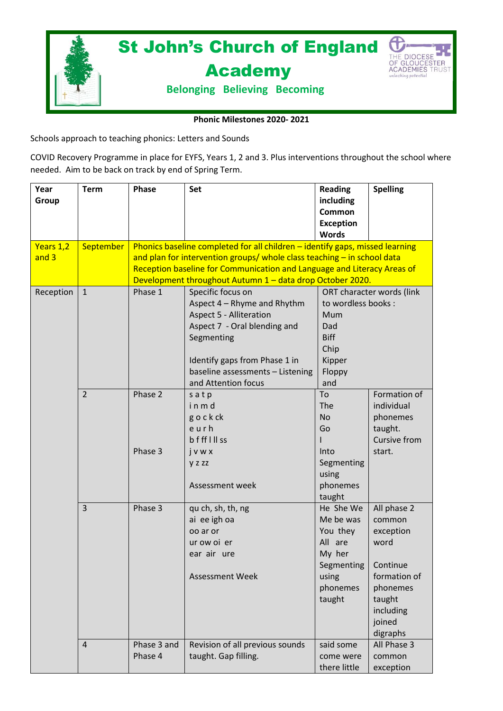

## St John's Church of England

## Academy



**Belonging Believing Becoming**

**Phonic Milestones 2020- 2021**

Schools approach to teaching phonics: Letters and Sounds

COVID Recovery Programme in place for EYFS, Years 1, 2 and 3. Plus interventions throughout the school where needed. Aim to be back on track by end of Spring Term.

| Year<br>Group | <b>Term</b>    | Phase       | Set                                                                          | <b>Reading</b><br>including | <b>Spelling</b> |
|---------------|----------------|-------------|------------------------------------------------------------------------------|-----------------------------|-----------------|
|               |                |             |                                                                              | Common                      |                 |
|               |                |             |                                                                              | <b>Exception</b>            |                 |
|               |                |             |                                                                              | <b>Words</b>                |                 |
| Years 1,2     | September      |             | Phonics baseline completed for all children - identify gaps, missed learning |                             |                 |
| and 3         |                |             | and plan for intervention groups/ whole class teaching - in school data      |                             |                 |
|               |                |             | Reception baseline for Communication and Language and Literacy Areas of      |                             |                 |
|               |                |             | Development throughout Autumn 1 - data drop October 2020.                    |                             |                 |
| Reception     | $\mathbf{1}$   | Phase 1     | Specific focus on                                                            | ORT character words (link   |                 |
|               |                |             | Aspect 4 - Rhyme and Rhythm                                                  | to wordless books:          |                 |
|               |                |             | <b>Aspect 5 - Alliteration</b>                                               | Mum                         |                 |
|               |                |             | Aspect 7 - Oral blending and                                                 | Dad                         |                 |
|               |                |             | Segmenting                                                                   | <b>Biff</b>                 |                 |
|               |                |             |                                                                              | Chip                        |                 |
|               |                |             | Identify gaps from Phase 1 in                                                | Kipper                      |                 |
|               |                |             | baseline assessments - Listening                                             | Floppy                      |                 |
|               |                |             | and Attention focus                                                          | and                         |                 |
|               | $\overline{2}$ | Phase 2     | satp                                                                         | To                          | Formation of    |
|               |                |             | inmd                                                                         | The                         | individual      |
|               |                |             | $g$ o c k ck                                                                 | No                          | phonemes        |
|               |                |             | eurh                                                                         | Go                          | taught.         |
|               |                | Phase 3     | $bf ff$ III ss                                                               |                             | Cursive from    |
|               |                |             | jvwx                                                                         | Into                        | start.          |
|               |                |             | y z zz                                                                       | Segmenting<br>using         |                 |
|               |                |             | Assessment week                                                              | phonemes                    |                 |
|               |                |             |                                                                              | taught                      |                 |
|               | 3              | Phase 3     | qu ch, sh, th, ng                                                            | He She We                   | All phase 2     |
|               |                |             | ai ee igh oa                                                                 | Me be was                   | common          |
|               |                |             | oo ar or                                                                     | You they                    | exception       |
|               |                |             | ur ow oi er                                                                  | All are                     | word            |
|               |                |             | ear air ure                                                                  | My her                      |                 |
|               |                |             |                                                                              | Segmenting                  | Continue        |
|               |                |             | <b>Assessment Week</b>                                                       | using                       | formation of    |
|               |                |             |                                                                              | phonemes                    | phonemes        |
|               |                |             |                                                                              | taught                      | taught          |
|               |                |             |                                                                              |                             | including       |
|               |                |             |                                                                              |                             | joined          |
|               |                |             |                                                                              |                             | digraphs        |
|               | $\overline{4}$ | Phase 3 and | Revision of all previous sounds                                              | said some                   | All Phase 3     |
|               |                | Phase 4     | taught. Gap filling.                                                         | come were                   | common          |
|               |                |             |                                                                              | there little                | exception       |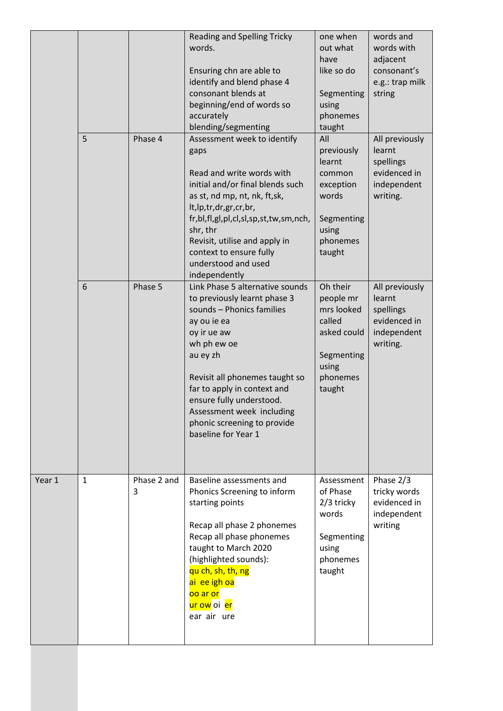|        |              |             | <b>Reading and Spelling Tricky</b><br>words. | one when<br>out what | words and<br>words with      |
|--------|--------------|-------------|----------------------------------------------|----------------------|------------------------------|
|        |              |             |                                              | have                 | adjacent                     |
|        |              |             | Ensuring chn are able to                     | like so do           | consonant's                  |
|        |              |             | identify and blend phase 4                   |                      | e.g.: trap milk              |
|        |              |             | consonant blends at                          | Segmenting           | string                       |
|        |              |             | beginning/end of words so                    | using                |                              |
|        |              |             | accurately                                   | phonemes             |                              |
|        |              |             | blending/segmenting                          | taught               |                              |
|        | 5            | Phase 4     | Assessment week to identify                  | All                  | All previously               |
|        |              |             | gaps                                         | previously           | learnt                       |
|        |              |             | Read and write words with                    | learnt<br>common     | spellings<br>evidenced in    |
|        |              |             | initial and/or final blends such             | exception            | independent                  |
|        |              |             | as st, nd mp, nt, nk, ft, sk,                | words                | writing.                     |
|        |              |             | lt, lp, tr, dr, gr, cr, br,                  |                      |                              |
|        |              |             | fr,bl,fl,gl,pl,cl,sl,sp,st,tw,sm,nch,        | Segmenting           |                              |
|        |              |             | shr, thr                                     | using                |                              |
|        |              |             | Revisit, utilise and apply in                | phonemes             |                              |
|        |              |             | context to ensure fully                      | taught               |                              |
|        |              |             | understood and used                          |                      |                              |
|        |              |             | independently                                |                      |                              |
|        | 6            | Phase 5     | Link Phase 5 alternative sounds              | Oh their             | All previously               |
|        |              |             | to previously learnt phase 3                 | people mr            | learnt                       |
|        |              |             | sounds - Phonics families                    | mrs looked           | spellings                    |
|        |              |             | ay ou ie ea                                  | called               | evidenced in                 |
|        |              |             | oy ir ue aw                                  | asked could          | independent                  |
|        |              |             | wh ph ew oe<br>au ey zh                      | Segmenting           | writing.                     |
|        |              |             |                                              | using                |                              |
|        |              |             | Revisit all phonemes taught so               | phonemes             |                              |
|        |              |             | far to apply in context and                  | taught               |                              |
|        |              |             | ensure fully understood.                     |                      |                              |
|        |              |             | Assessment week including                    |                      |                              |
|        |              |             | phonic screening to provide                  |                      |                              |
|        |              |             | baseline for Year 1                          |                      |                              |
|        |              |             |                                              |                      |                              |
|        |              |             |                                              |                      |                              |
|        |              |             |                                              |                      |                              |
| Year 1 | $\mathbf{1}$ | Phase 2 and | Baseline assessments and                     | Assessment           | Phase 2/3                    |
|        |              | 3           | Phonics Screening to inform                  | of Phase             | tricky words<br>evidenced in |
|        |              |             | starting points                              | 2/3 tricky<br>words  | independent                  |
|        |              |             | Recap all phase 2 phonemes                   |                      | writing                      |
|        |              |             | Recap all phase phonemes                     | Segmenting           |                              |
|        |              |             | taught to March 2020                         | using                |                              |
|        |              |             | (highlighted sounds):                        | phonemes             |                              |
|        |              |             | qu ch, sh, th, ng                            | taught               |                              |
|        |              |             | ai ee igh oa                                 |                      |                              |
|        |              |             | oo ar or                                     |                      |                              |
|        |              |             | ur ow oi er                                  |                      |                              |
|        |              |             | ear air ure                                  |                      |                              |
|        |              |             |                                              |                      |                              |
|        |              |             |                                              |                      |                              |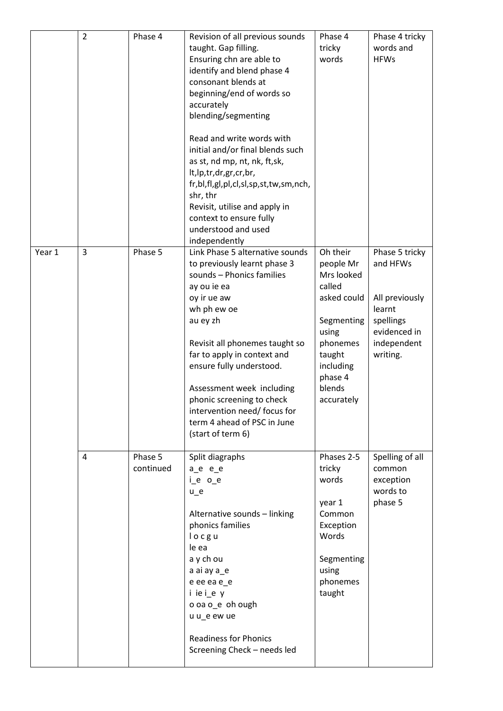|        | $\overline{2}$ | Phase 4              | Revision of all previous sounds<br>taught. Gap filling.<br>Ensuring chn are able to<br>identify and blend phase 4<br>consonant blends at<br>beginning/end of words so<br>accurately<br>blending/segmenting<br>Read and write words with<br>initial and/or final blends such<br>as st, nd mp, nt, nk, ft, sk,<br>lt, lp, tr, dr, gr, cr, br,<br>fr,bl,fl,gl,pl,cl,sl,sp,st,tw,sm,nch,<br>shr, thr<br>Revisit, utilise and apply in<br>context to ensure fully<br>understood and used<br>independently | Phase 4<br>tricky<br>words                                                                                                                                | Phase 4 tricky<br>words and<br><b>HFWs</b>                                                                     |
|--------|----------------|----------------------|------------------------------------------------------------------------------------------------------------------------------------------------------------------------------------------------------------------------------------------------------------------------------------------------------------------------------------------------------------------------------------------------------------------------------------------------------------------------------------------------------|-----------------------------------------------------------------------------------------------------------------------------------------------------------|----------------------------------------------------------------------------------------------------------------|
| Year 1 | $\overline{3}$ | Phase 5              | Link Phase 5 alternative sounds<br>to previously learnt phase 3<br>sounds - Phonics families<br>ay ou ie ea<br>oy ir ue aw<br>wh ph ew oe<br>au ey zh<br>Revisit all phonemes taught so<br>far to apply in context and<br>ensure fully understood.<br>Assessment week including<br>phonic screening to check<br>intervention need/ focus for<br>term 4 ahead of PSC in June<br>(start of term 6)                                                                                                     | Oh their<br>people Mr<br>Mrs looked<br>called<br>asked could<br>Segmenting<br>using<br>phonemes<br>taught<br>including<br>phase 4<br>blends<br>accurately | Phase 5 tricky<br>and HFWs<br>All previously<br>learnt<br>spellings<br>evidenced in<br>independent<br>writing. |
|        | 4              | Phase 5<br>continued | Split diagraphs<br>a e e e<br>i_e o_e<br>$u_e$<br>Alternative sounds - linking<br>phonics families<br>locgu<br>le ea<br>a y ch ou<br>a ai ay a_e<br>e ee ea e_e<br>i ie i_e y<br>o oa o_e oh ough<br>u u_e ew ue<br><b>Readiness for Phonics</b><br>Screening Check - needs led                                                                                                                                                                                                                      | Phases 2-5<br>tricky<br>words<br>year 1<br>Common<br>Exception<br>Words<br>Segmenting<br>using<br>phonemes<br>taught                                      | Spelling of all<br>common<br>exception<br>words to<br>phase 5                                                  |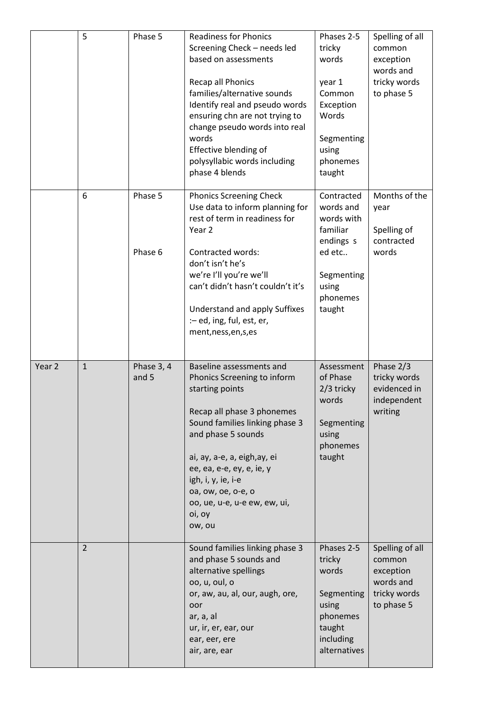|        | 5            | Phase 5             | <b>Readiness for Phonics</b><br>Screening Check - needs led<br>based on assessments<br>Recap all Phonics<br>families/alternative sounds<br>Identify real and pseudo words<br>ensuring chn are not trying to<br>change pseudo words into real<br>words<br>Effective blending of<br>polysyllabic words including<br>phase 4 blends | Phases 2-5<br>tricky<br>words<br>year 1<br>Common<br>Exception<br>Words<br>Segmenting<br>using<br>phonemes<br>taught  | Spelling of all<br>common<br>exception<br>words and<br>tricky words<br>to phase 5 |
|--------|--------------|---------------------|----------------------------------------------------------------------------------------------------------------------------------------------------------------------------------------------------------------------------------------------------------------------------------------------------------------------------------|-----------------------------------------------------------------------------------------------------------------------|-----------------------------------------------------------------------------------|
|        | 6            | Phase 5<br>Phase 6  | <b>Phonics Screening Check</b><br>Use data to inform planning for<br>rest of term in readiness for<br>Year 2<br>Contracted words:<br>don't isn't he's<br>we're I'll you're we'll<br>can't didn't hasn't couldn't it's<br>Understand and apply Suffixes<br>:- ed, ing, ful, est, er,<br>ment, ness, en, s, es                     | Contracted<br>words and<br>words with<br>familiar<br>endings s<br>ed etc<br>Segmenting<br>using<br>phonemes<br>taught | Months of the<br>year<br>Spelling of<br>contracted<br>words                       |
| Year 2 | $\mathbf{1}$ | Phase 3, 4<br>and 5 | Baseline assessments and<br>Phonics Screening to inform<br>starting points<br>Recap all phase 3 phonemes<br>Sound families linking phase 3<br>and phase 5 sounds<br>ai, ay, a-e, a, eigh, ay, ei                                                                                                                                 | Assessment<br>of Phase<br>$2/3$ tricky<br>words<br>Segmenting<br>using<br>phonemes<br>taught                          | Phase 2/3<br>tricky words<br>evidenced in<br>independent<br>writing               |
|        |              |                     | ee, ea, e-e, ey, e, ie, y<br>igh, i, y, ie, i-e<br>oa, ow, oe, o-e, o<br>oo, ue, u-e, u-e ew, ew, ui,<br>oi, oy<br>ow, ou                                                                                                                                                                                                        |                                                                                                                       |                                                                                   |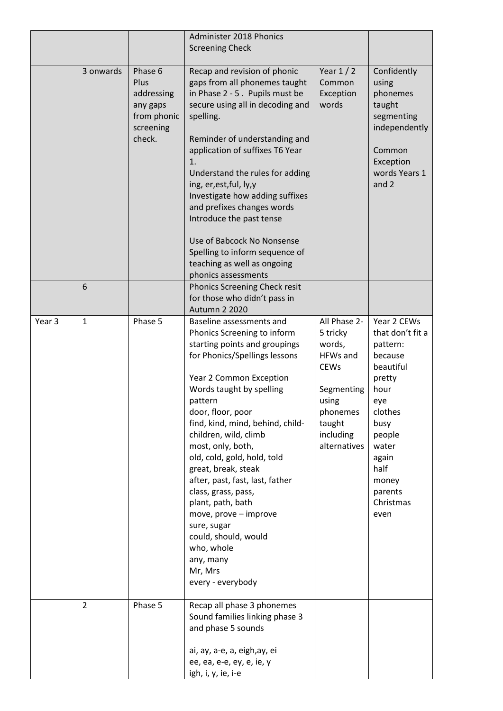| 3 onwards<br>Phase 6<br>Recap and revision of phonic<br>Year $1/2$<br>Confidently<br>Plus<br>gaps from all phonemes taught<br>Common<br>using<br>in Phase 2 - 5. Pupils must be<br>Exception<br>phonemes<br>addressing<br>secure using all in decoding and<br>words<br>taught<br>any gaps<br>from phonic<br>spelling.<br>segmenting<br>screening<br>check.<br>Reminder of understanding and<br>application of suffixes T6 Year<br>Common<br>Exception<br>1.<br>words Years 1<br>Understand the rules for adding<br>and 2<br>ing, er, est, ful, ly, y<br>Investigate how adding suffixes<br>and prefixes changes words<br>Introduce the past tense<br>Use of Babcock No Nonsense<br>Spelling to inform sequence of<br>teaching as well as ongoing<br>phonics assessments<br>6<br>Phonics Screening Check resit<br>for those who didn't pass in<br><b>Autumn 2 2020</b><br>Phase 5<br>All Phase 2-<br>Year 2 CEWs<br>Year 3<br>$\mathbf{1}$<br>Baseline assessments and<br>Phonics Screening to inform<br>5 tricky<br>starting points and groupings<br>words,<br>pattern:<br>for Phonics/Spellings lessons<br>HFWs and<br>because<br><b>CEWs</b><br>beautiful<br>Year 2 Common Exception<br>pretty<br>Words taught by spelling<br>Segmenting<br>hour<br>pattern<br>using<br>eye<br>door, floor, poor<br>phonemes<br>clothes<br>find, kind, mind, behind, child-<br>taught<br>busy<br>children, wild, climb<br>including<br>people<br>most, only, both,<br>alternatives<br>water<br>old, cold, gold, hold, told<br>again<br>great, break, steak<br>half<br>after, past, fast, last, father<br>money<br>class, grass, pass,<br>parents | independently    |
|------------------------------------------------------------------------------------------------------------------------------------------------------------------------------------------------------------------------------------------------------------------------------------------------------------------------------------------------------------------------------------------------------------------------------------------------------------------------------------------------------------------------------------------------------------------------------------------------------------------------------------------------------------------------------------------------------------------------------------------------------------------------------------------------------------------------------------------------------------------------------------------------------------------------------------------------------------------------------------------------------------------------------------------------------------------------------------------------------------------------------------------------------------------------------------------------------------------------------------------------------------------------------------------------------------------------------------------------------------------------------------------------------------------------------------------------------------------------------------------------------------------------------------------------------------------------------------------------------------------------------------|------------------|
|                                                                                                                                                                                                                                                                                                                                                                                                                                                                                                                                                                                                                                                                                                                                                                                                                                                                                                                                                                                                                                                                                                                                                                                                                                                                                                                                                                                                                                                                                                                                                                                                                                    |                  |
|                                                                                                                                                                                                                                                                                                                                                                                                                                                                                                                                                                                                                                                                                                                                                                                                                                                                                                                                                                                                                                                                                                                                                                                                                                                                                                                                                                                                                                                                                                                                                                                                                                    |                  |
| plant, path, bath<br>Christmas<br>move, prove - improve<br>even<br>sure, sugar<br>could, should, would<br>who, whole<br>any, many<br>Mr, Mrs<br>every - everybody                                                                                                                                                                                                                                                                                                                                                                                                                                                                                                                                                                                                                                                                                                                                                                                                                                                                                                                                                                                                                                                                                                                                                                                                                                                                                                                                                                                                                                                                  | that don't fit a |
| $\overline{2}$<br>Phase 5<br>Recap all phase 3 phonemes<br>Sound families linking phase 3<br>and phase 5 sounds<br>ai, ay, a-e, a, eigh, ay, ei<br>ee, ea, e-e, ey, e, ie, y<br>igh, i, y, ie, i-e                                                                                                                                                                                                                                                                                                                                                                                                                                                                                                                                                                                                                                                                                                                                                                                                                                                                                                                                                                                                                                                                                                                                                                                                                                                                                                                                                                                                                                 |                  |